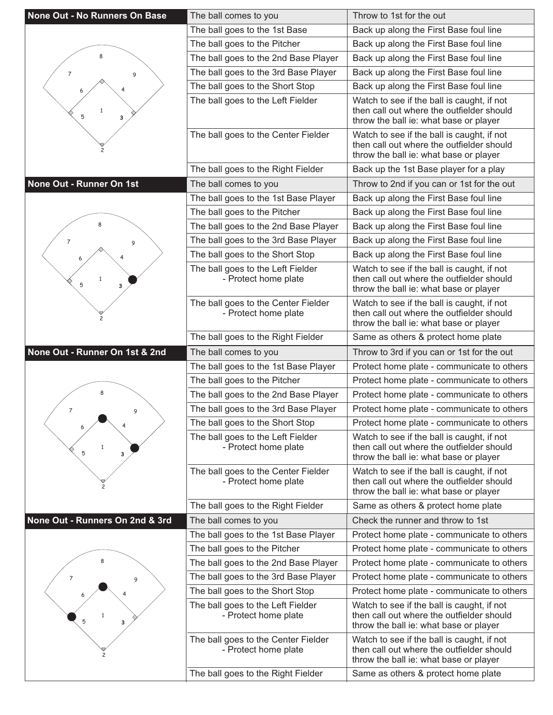| None Out - No Runners On Base   | The ball comes to you                                                                             | Throw to 1st for the out                                                                                                                                                 |
|---------------------------------|---------------------------------------------------------------------------------------------------|--------------------------------------------------------------------------------------------------------------------------------------------------------------------------|
|                                 | The ball goes to the 1st Base                                                                     | Back up along the First Base foul line                                                                                                                                   |
|                                 | The ball goes to the Pitcher                                                                      | Back up along the First Base foul line                                                                                                                                   |
| 8                               | The ball goes to the 2nd Base Player                                                              | Back up along the First Base foul line                                                                                                                                   |
| $\overline{7}$<br>9             | The ball goes to the 3rd Base Player                                                              | Back up along the First Base foul line                                                                                                                                   |
|                                 | The ball goes to the Short Stop                                                                   | Back up along the First Base foul line                                                                                                                                   |
| $\mathbf{1}$<br>5<br>з          | The ball goes to the Left Fielder                                                                 | Watch to see if the ball is caught, if not<br>then call out where the outfielder should<br>throw the ball ie: what base or player                                        |
|                                 | The ball goes to the Center Fielder                                                               | Watch to see if the ball is caught, if not<br>then call out where the outfielder should<br>throw the ball ie: what base or player                                        |
|                                 | The ball goes to the Right Fielder                                                                | Back up the 1st Base player for a play                                                                                                                                   |
| None Out - Runner On 1st        | The ball comes to you                                                                             | Throw to 2nd if you can or 1st for the out                                                                                                                               |
|                                 | The ball goes to the 1st Base Player                                                              | Back up along the First Base foul line                                                                                                                                   |
|                                 | The ball goes to the Pitcher                                                                      | Back up along the First Base foul line                                                                                                                                   |
|                                 | The ball goes to the 2nd Base Player                                                              | Back up along the First Base foul line                                                                                                                                   |
| 7<br>9                          | The ball goes to the 3rd Base Player                                                              | Back up along the First Base foul line                                                                                                                                   |
|                                 | The ball goes to the Short Stop                                                                   | Back up along the First Base foul line                                                                                                                                   |
| $\mathbf{1}$<br>5<br>3          | The ball goes to the Left Fielder<br>- Protect home plate                                         | Watch to see if the ball is caught, if not<br>then call out where the outfielder should<br>throw the ball ie: what base or player                                        |
|                                 | The ball goes to the Center Fielder<br>- Protect home plate                                       | Watch to see if the ball is caught, if not<br>then call out where the outfielder should<br>throw the ball ie: what base or player                                        |
|                                 | The ball goes to the Right Fielder                                                                | Same as others & protect home plate                                                                                                                                      |
|                                 |                                                                                                   |                                                                                                                                                                          |
| None Out - Runner On 1st & 2nd  | The ball comes to you                                                                             | Throw to 3rd if you can or 1st for the out                                                                                                                               |
|                                 | The ball goes to the 1st Base Player                                                              | Protect home plate - communicate to others                                                                                                                               |
|                                 | The ball goes to the Pitcher                                                                      | Protect home plate - communicate to others                                                                                                                               |
| 8                               | The ball goes to the 2nd Base Player                                                              | Protect home plate - communicate to others                                                                                                                               |
| $\overline{7}$<br>9             | The ball goes to the 3rd Base Player                                                              | Protect home plate - communicate to others                                                                                                                               |
| 6                               | The ball goes to the Short Stop                                                                   | Protect home plate - communicate to others                                                                                                                               |
| $\mathbf{1}$<br>5<br>3          | The ball goes to the Left Fielder<br>- Protect home plate                                         | Watch to see if the ball is caught, if not<br>then call out where the outfielder should<br>throw the ball ie: what base or player                                        |
|                                 | The ball goes to the Center Fielder<br>- Protect home plate                                       | Watch to see if the ball is caught, if not<br>then call out where the outfielder should<br>throw the ball ie: what base or player                                        |
|                                 | The ball goes to the Right Fielder                                                                | Same as others & protect home plate                                                                                                                                      |
| None Out - Runners On 2nd & 3rd | The ball comes to you                                                                             | Check the runner and throw to 1st                                                                                                                                        |
|                                 | The ball goes to the 1st Base Player                                                              | Protect home plate - communicate to others                                                                                                                               |
|                                 | The ball goes to the Pitcher                                                                      | Protect home plate - communicate to others                                                                                                                               |
| 8                               | The ball goes to the 2nd Base Player                                                              | Protect home plate - communicate to others                                                                                                                               |
| $\overline{7}$<br>9             | The ball goes to the 3rd Base Player                                                              | Protect home plate - communicate to others                                                                                                                               |
|                                 | The ball goes to the Short Stop                                                                   | Protect home plate - communicate to others                                                                                                                               |
| 5<br>3                          | The ball goes to the Left Fielder<br>- Protect home plate                                         | Watch to see if the ball is caught, if not<br>then call out where the outfielder should<br>throw the ball ie: what base or player                                        |
|                                 | The ball goes to the Center Fielder<br>- Protect home plate<br>The ball goes to the Right Fielder | Watch to see if the ball is caught, if not<br>then call out where the outfielder should<br>throw the ball ie: what base or player<br>Same as others & protect home plate |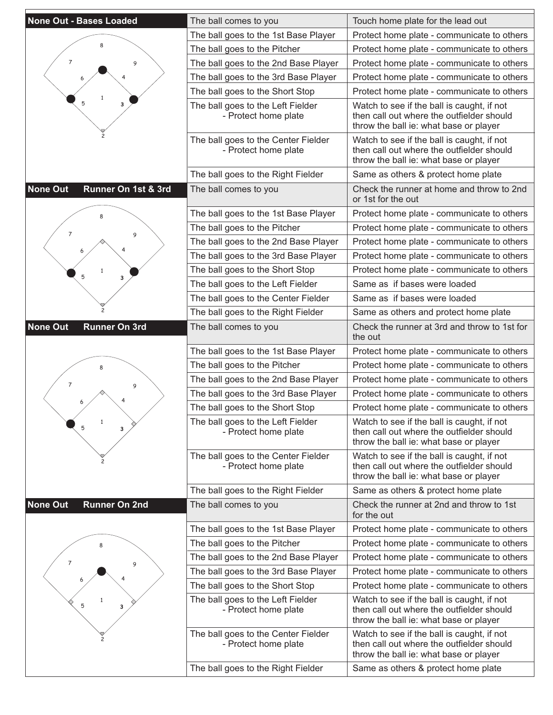| <b>None Out - Bases Loaded</b>          | The ball comes to you                                       | Touch home plate for the lead out                                                                                                 |
|-----------------------------------------|-------------------------------------------------------------|-----------------------------------------------------------------------------------------------------------------------------------|
|                                         | The ball goes to the 1st Base Player                        | Protect home plate - communicate to others                                                                                        |
|                                         | The ball goes to the Pitcher                                | Protect home plate - communicate to others                                                                                        |
| 7<br>9                                  | The ball goes to the 2nd Base Player                        | Protect home plate - communicate to others                                                                                        |
|                                         | The ball goes to the 3rd Base Player                        | Protect home plate - communicate to others                                                                                        |
|                                         | The ball goes to the Short Stop                             | Protect home plate - communicate to others                                                                                        |
| 1<br>5<br>3                             | The ball goes to the Left Fielder<br>- Protect home plate   | Watch to see if the ball is caught, if not<br>then call out where the outfielder should<br>throw the ball ie: what base or player |
|                                         | The ball goes to the Center Fielder<br>- Protect home plate | Watch to see if the ball is caught, if not<br>then call out where the outfielder should<br>throw the ball ie: what base or player |
|                                         | The ball goes to the Right Fielder                          | Same as others & protect home plate                                                                                               |
| <b>None Out</b><br>Runner On 1st & 3rd  | The ball comes to you                                       | Check the runner at home and throw to 2nd<br>or 1st for the out                                                                   |
|                                         | The ball goes to the 1st Base Player                        | Protect home plate - communicate to others                                                                                        |
| 7                                       | The ball goes to the Pitcher                                | Protect home plate - communicate to others                                                                                        |
| 9                                       | The ball goes to the 2nd Base Player                        | Protect home plate - communicate to others                                                                                        |
|                                         | The ball goes to the 3rd Base Player                        | Protect home plate - communicate to others                                                                                        |
| 1<br>5                                  | The ball goes to the Short Stop                             | Protect home plate - communicate to others                                                                                        |
| 3                                       | The ball goes to the Left Fielder                           | Same as if bases were loaded                                                                                                      |
|                                         | The ball goes to the Center Fielder                         | Same as if bases were loaded                                                                                                      |
|                                         | The ball goes to the Right Fielder                          | Same as others and protect home plate                                                                                             |
| <b>None Out</b><br><b>Runner On 3rd</b> | The ball comes to you                                       | Check the runner at 3rd and throw to 1st for<br>the out                                                                           |
|                                         | The ball goes to the 1st Base Player                        | Protect home plate - communicate to others                                                                                        |
|                                         | The ball goes to the Pitcher                                | Protect home plate - communicate to others                                                                                        |
| 7<br>9                                  | The ball goes to the 2nd Base Player                        | Protect home plate - communicate to others                                                                                        |
|                                         | The ball goes to the 3rd Base Player                        | Protect home plate - communicate to others                                                                                        |
|                                         | The ball goes to the Short Stop                             | Protect home plate - communicate to others                                                                                        |
| $\mathbf{1}$<br>5<br>3                  | The ball goes to the Left Fielder<br>- Protect home plate   | Watch to see if the ball is caught, if not<br>then call out where the outfielder should<br>throw the ball ie: what base or player |
|                                         | The ball goes to the Center Fielder<br>- Protect home plate | Watch to see if the ball is caught, if not<br>then call out where the outfielder should<br>throw the ball ie: what base or player |
|                                         | The ball goes to the Right Fielder                          | Same as others & protect home plate                                                                                               |
| <b>None Out</b><br><b>Runner On 2nd</b> | The ball comes to you                                       | Check the runner at 2nd and throw to 1st<br>for the out                                                                           |
|                                         | The ball goes to the 1st Base Player                        | Protect home plate - communicate to others                                                                                        |
|                                         | The ball goes to the Pitcher                                | Protect home plate - communicate to others                                                                                        |
| 7<br>9                                  | The ball goes to the 2nd Base Player                        | Protect home plate - communicate to others                                                                                        |
|                                         | The ball goes to the 3rd Base Player                        | Protect home plate - communicate to others                                                                                        |
|                                         | The ball goes to the Short Stop                             | Protect home plate - communicate to others                                                                                        |
| 5<br>3                                  | The ball goes to the Left Fielder<br>- Protect home plate   | Watch to see if the ball is caught, if not<br>then call out where the outfielder should<br>throw the ball ie: what base or player |
|                                         | The ball goes to the Center Fielder<br>- Protect home plate | Watch to see if the ball is caught, if not<br>then call out where the outfielder should<br>throw the ball ie: what base or player |
|                                         | The ball goes to the Right Fielder                          | Same as others & protect home plate                                                                                               |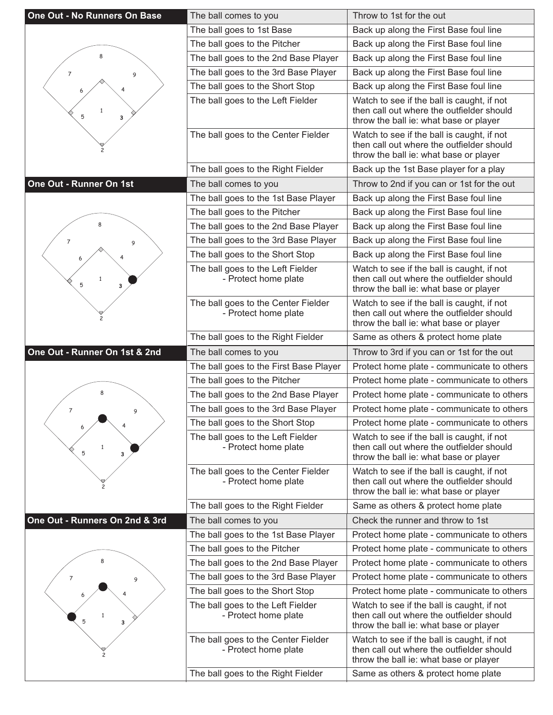| One Out - No Runners On Base   | The ball comes to you                                                                             | Throw to 1st for the out                                                                                                                                                 |
|--------------------------------|---------------------------------------------------------------------------------------------------|--------------------------------------------------------------------------------------------------------------------------------------------------------------------------|
|                                | The ball goes to 1st Base                                                                         | Back up along the First Base foul line                                                                                                                                   |
|                                | The ball goes to the Pitcher                                                                      | Back up along the First Base foul line                                                                                                                                   |
| 8                              | The ball goes to the 2nd Base Player                                                              | Back up along the First Base foul line                                                                                                                                   |
| 7<br>9                         | The ball goes to the 3rd Base Player                                                              | Back up along the First Base foul line                                                                                                                                   |
|                                | The ball goes to the Short Stop                                                                   | Back up along the First Base foul line                                                                                                                                   |
| $\mathbf{1}$<br>5<br>з         | The ball goes to the Left Fielder                                                                 | Watch to see if the ball is caught, if not<br>then call out where the outfielder should<br>throw the ball ie: what base or player                                        |
|                                | The ball goes to the Center Fielder                                                               | Watch to see if the ball is caught, if not<br>then call out where the outfielder should<br>throw the ball ie: what base or player                                        |
|                                | The ball goes to the Right Fielder                                                                | Back up the 1st Base player for a play                                                                                                                                   |
| One Out - Runner On 1st        | The ball comes to you                                                                             | Throw to 2nd if you can or 1st for the out                                                                                                                               |
|                                | The ball goes to the 1st Base Player                                                              | Back up along the First Base foul line                                                                                                                                   |
|                                | The ball goes to the Pitcher                                                                      | Back up along the First Base foul line                                                                                                                                   |
|                                | The ball goes to the 2nd Base Player                                                              | Back up along the First Base foul line                                                                                                                                   |
| 7<br>9                         | The ball goes to the 3rd Base Player                                                              | Back up along the First Base foul line                                                                                                                                   |
|                                | The ball goes to the Short Stop                                                                   | Back up along the First Base foul line                                                                                                                                   |
| $\mathbf{1}$<br>5<br>3         | The ball goes to the Left Fielder<br>- Protect home plate                                         | Watch to see if the ball is caught, if not<br>then call out where the outfielder should<br>throw the ball ie: what base or player                                        |
|                                | The ball goes to the Center Fielder<br>- Protect home plate                                       | Watch to see if the ball is caught, if not<br>then call out where the outfielder should<br>throw the ball ie: what base or player                                        |
|                                | The ball goes to the Right Fielder                                                                | Same as others & protect home plate                                                                                                                                      |
|                                |                                                                                                   |                                                                                                                                                                          |
| One Out - Runner On 1st & 2nd  | The ball comes to you                                                                             | Throw to 3rd if you can or 1st for the out                                                                                                                               |
|                                | The ball goes to the First Base Player                                                            | Protect home plate - communicate to others                                                                                                                               |
|                                | The ball goes to the Pitcher                                                                      | Protect home plate - communicate to others                                                                                                                               |
| 8                              | The ball goes to the 2nd Base Player                                                              | Protect home plate - communicate to others                                                                                                                               |
| $\overline{7}$<br>9            | The ball goes to the 3rd Base Player                                                              | Protect home plate - communicate to others                                                                                                                               |
| 6                              | The ball goes to the Short Stop                                                                   | Protect home plate - communicate to others                                                                                                                               |
| $\mathbf{1}$<br>5<br>3         | The ball goes to the Left Fielder<br>- Protect home plate                                         | Watch to see if the ball is caught, if not<br>then call out where the outfielder should<br>throw the ball ie: what base or player                                        |
|                                | The ball goes to the Center Fielder<br>- Protect home plate                                       | Watch to see if the ball is caught, if not<br>then call out where the outfielder should<br>throw the ball ie: what base or player                                        |
|                                | The ball goes to the Right Fielder                                                                | Same as others & protect home plate                                                                                                                                      |
| One Out - Runners On 2nd & 3rd | The ball comes to you                                                                             | Check the runner and throw to 1st                                                                                                                                        |
|                                | The ball goes to the 1st Base Player                                                              | Protect home plate - communicate to others                                                                                                                               |
|                                | The ball goes to the Pitcher                                                                      | Protect home plate - communicate to others                                                                                                                               |
| 8                              | The ball goes to the 2nd Base Player                                                              | Protect home plate - communicate to others                                                                                                                               |
| 7<br>9                         | The ball goes to the 3rd Base Player                                                              | Protect home plate - communicate to others                                                                                                                               |
|                                | The ball goes to the Short Stop                                                                   | Protect home plate - communicate to others                                                                                                                               |
| $\mathbf{1}$<br>5<br>3         | The ball goes to the Left Fielder<br>- Protect home plate                                         | Watch to see if the ball is caught, if not<br>then call out where the outfielder should<br>throw the ball ie: what base or player                                        |
|                                | The ball goes to the Center Fielder<br>- Protect home plate<br>The ball goes to the Right Fielder | Watch to see if the ball is caught, if not<br>then call out where the outfielder should<br>throw the ball ie: what base or player<br>Same as others & protect home plate |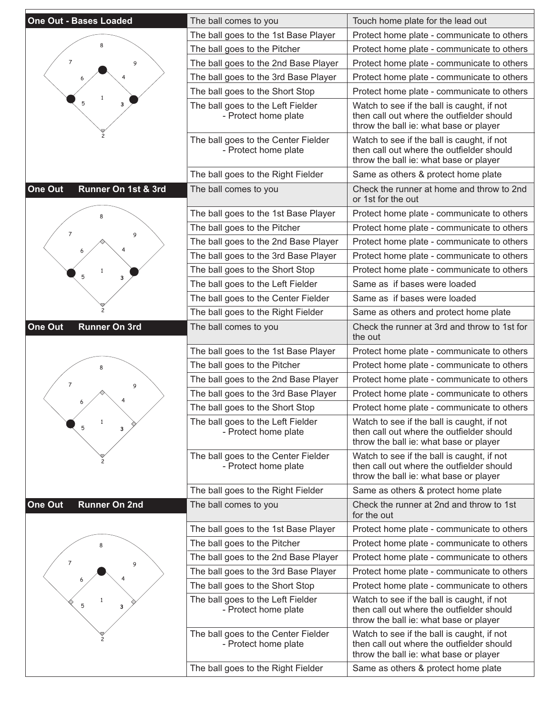| <b>One Out - Bases Loaded</b>   | The ball comes to you                                       | Touch home plate for the lead out                                                                                                 |
|---------------------------------|-------------------------------------------------------------|-----------------------------------------------------------------------------------------------------------------------------------|
|                                 | The ball goes to the 1st Base Player                        | Protect home plate - communicate to others                                                                                        |
|                                 | The ball goes to the Pitcher                                | Protect home plate - communicate to others                                                                                        |
| 7<br>9                          | The ball goes to the 2nd Base Player                        | Protect home plate - communicate to others                                                                                        |
|                                 | The ball goes to the 3rd Base Player                        | Protect home plate - communicate to others                                                                                        |
|                                 | The ball goes to the Short Stop                             | Protect home plate - communicate to others                                                                                        |
| 1<br>5<br>3                     | The ball goes to the Left Fielder<br>- Protect home plate   | Watch to see if the ball is caught, if not<br>then call out where the outfielder should<br>throw the ball ie: what base or player |
|                                 | The ball goes to the Center Fielder<br>- Protect home plate | Watch to see if the ball is caught, if not<br>then call out where the outfielder should<br>throw the ball ie: what base or player |
|                                 | The ball goes to the Right Fielder                          | Same as others & protect home plate                                                                                               |
| One Out<br>Runner On 1st & 3rd  | The ball comes to you                                       | Check the runner at home and throw to 2nd<br>or 1st for the out                                                                   |
|                                 | The ball goes to the 1st Base Player                        | Protect home plate - communicate to others                                                                                        |
|                                 | The ball goes to the Pitcher                                | Protect home plate - communicate to others                                                                                        |
| 7<br>9                          | The ball goes to the 2nd Base Player                        | Protect home plate - communicate to others                                                                                        |
|                                 | The ball goes to the 3rd Base Player                        | Protect home plate - communicate to others                                                                                        |
| 1                               | The ball goes to the Short Stop                             | Protect home plate - communicate to others                                                                                        |
| 5<br>3                          | The ball goes to the Left Fielder                           | Same as if bases were loaded                                                                                                      |
|                                 | The ball goes to the Center Fielder                         | Same as if bases were loaded                                                                                                      |
|                                 | The ball goes to the Right Fielder                          | Same as others and protect home plate                                                                                             |
| One Out<br><b>Runner On 3rd</b> | The ball comes to you                                       | Check the runner at 3rd and throw to 1st for<br>the out                                                                           |
|                                 | The ball goes to the 1st Base Player                        | Protect home plate - communicate to others                                                                                        |
|                                 | The ball goes to the Pitcher                                | Protect home plate - communicate to others                                                                                        |
| 7<br>9                          | The ball goes to the 2nd Base Player                        | Protect home plate - communicate to others                                                                                        |
|                                 | The ball goes to the 3rd Base Player                        | Protect home plate - communicate to others                                                                                        |
|                                 | The ball goes to the Short Stop                             | Protect home plate - communicate to others                                                                                        |
| $\mathbf{1}$<br>5<br>3          | The ball goes to the Left Fielder<br>- Protect home plate   | Watch to see if the ball is caught, if not<br>then call out where the outfielder should<br>throw the ball ie: what base or player |
|                                 | The ball goes to the Center Fielder<br>- Protect home plate | Watch to see if the ball is caught, if not<br>then call out where the outfielder should<br>throw the ball ie: what base or player |
|                                 | The ball goes to the Right Fielder                          | Same as others & protect home plate                                                                                               |
| One Out<br><b>Runner On 2nd</b> | The ball comes to you                                       | Check the runner at 2nd and throw to 1st<br>for the out                                                                           |
|                                 | The ball goes to the 1st Base Player                        | Protect home plate - communicate to others                                                                                        |
|                                 | The ball goes to the Pitcher                                | Protect home plate - communicate to others                                                                                        |
| 7<br>9                          | The ball goes to the 2nd Base Player                        | Protect home plate - communicate to others                                                                                        |
|                                 | The ball goes to the 3rd Base Player                        | Protect home plate - communicate to others                                                                                        |
|                                 | The ball goes to the Short Stop                             | Protect home plate - communicate to others                                                                                        |
| 5<br>з                          | The ball goes to the Left Fielder<br>- Protect home plate   | Watch to see if the ball is caught, if not<br>then call out where the outfielder should<br>throw the ball ie: what base or player |
|                                 | The ball goes to the Center Fielder<br>- Protect home plate | Watch to see if the ball is caught, if not<br>then call out where the outfielder should<br>throw the ball ie: what base or player |
|                                 | The ball goes to the Right Fielder                          | Same as others & protect home plate                                                                                               |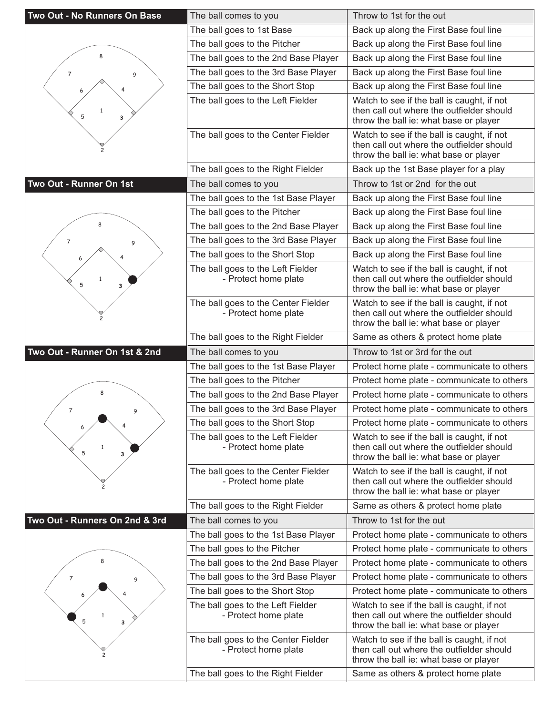| Two Out - No Runners On Base   | The ball comes to you                                       | Throw to 1st for the out                                                                                                          |
|--------------------------------|-------------------------------------------------------------|-----------------------------------------------------------------------------------------------------------------------------------|
|                                | The ball goes to 1st Base                                   | Back up along the First Base foul line                                                                                            |
|                                | The ball goes to the Pitcher                                | Back up along the First Base foul line                                                                                            |
| 8                              | The ball goes to the 2nd Base Player                        | Back up along the First Base foul line                                                                                            |
| $\overline{7}$<br>9            | The ball goes to the 3rd Base Player                        | Back up along the First Base foul line                                                                                            |
|                                | The ball goes to the Short Stop                             | Back up along the First Base foul line                                                                                            |
| $\mathbf{1}$<br>5<br>з         | The ball goes to the Left Fielder                           | Watch to see if the ball is caught, if not<br>then call out where the outfielder should<br>throw the ball ie: what base or player |
|                                | The ball goes to the Center Fielder                         | Watch to see if the ball is caught, if not<br>then call out where the outfielder should<br>throw the ball ie: what base or player |
|                                | The ball goes to the Right Fielder                          | Back up the 1st Base player for a play                                                                                            |
| Two Out - Runner On 1st        | The ball comes to you                                       | Throw to 1st or 2nd for the out                                                                                                   |
|                                | The ball goes to the 1st Base Player                        | Back up along the First Base foul line                                                                                            |
|                                | The ball goes to the Pitcher                                | Back up along the First Base foul line                                                                                            |
|                                | The ball goes to the 2nd Base Player                        | Back up along the First Base foul line                                                                                            |
| $\overline{7}$<br>9            | The ball goes to the 3rd Base Player                        | Back up along the First Base foul line                                                                                            |
|                                | The ball goes to the Short Stop                             | Back up along the First Base foul line                                                                                            |
| 1<br>5<br>3                    | The ball goes to the Left Fielder<br>- Protect home plate   | Watch to see if the ball is caught, if not<br>then call out where the outfielder should<br>throw the ball ie: what base or player |
|                                | The ball goes to the Center Fielder<br>- Protect home plate | Watch to see if the ball is caught, if not<br>then call out where the outfielder should<br>throw the ball ie: what base or player |
|                                | The ball goes to the Right Fielder                          | Same as others & protect home plate                                                                                               |
|                                |                                                             |                                                                                                                                   |
| Two Out - Runner On 1st & 2nd  | The ball comes to you                                       | Throw to 1st or 3rd for the out                                                                                                   |
|                                | The ball goes to the 1st Base Player                        | Protect home plate - communicate to others                                                                                        |
|                                | The ball goes to the Pitcher                                | Protect home plate - communicate to others                                                                                        |
| 8                              | The ball goes to the 2nd Base Player                        | Protect home plate - communicate to others                                                                                        |
| 7<br>9                         | The ball goes to the 3rd Base Player                        | Protect home plate - communicate to others                                                                                        |
| 6                              | The ball goes to the Short Stop                             | Protect home plate - communicate to others                                                                                        |
| $\mathbf{1}$<br>5<br>3         | The ball goes to the Left Fielder<br>- Protect home plate   | Watch to see if the ball is caught, if not<br>then call out where the outfielder should<br>throw the ball ie: what base or player |
|                                | The ball goes to the Center Fielder<br>- Protect home plate | Watch to see if the ball is caught, if not<br>then call out where the outfielder should<br>throw the ball ie: what base or player |
|                                | The ball goes to the Right Fielder                          | Same as others & protect home plate                                                                                               |
| Two Out - Runners On 2nd & 3rd | The ball comes to you                                       | Throw to 1st for the out                                                                                                          |
|                                | The ball goes to the 1st Base Player                        | Protect home plate - communicate to others                                                                                        |
|                                | The ball goes to the Pitcher                                | Protect home plate - communicate to others                                                                                        |
| 8                              | The ball goes to the 2nd Base Player                        | Protect home plate - communicate to others                                                                                        |
| 7<br>9                         | The ball goes to the 3rd Base Player                        | Protect home plate - communicate to others                                                                                        |
|                                | The ball goes to the Short Stop                             | Protect home plate - communicate to others                                                                                        |
| 5<br>3                         | The ball goes to the Left Fielder<br>- Protect home plate   | Watch to see if the ball is caught, if not<br>then call out where the outfielder should<br>throw the ball ie: what base or player |
|                                | The ball goes to the Center Fielder<br>- Protect home plate | Watch to see if the ball is caught, if not<br>then call out where the outfielder should<br>throw the ball ie: what base or player |